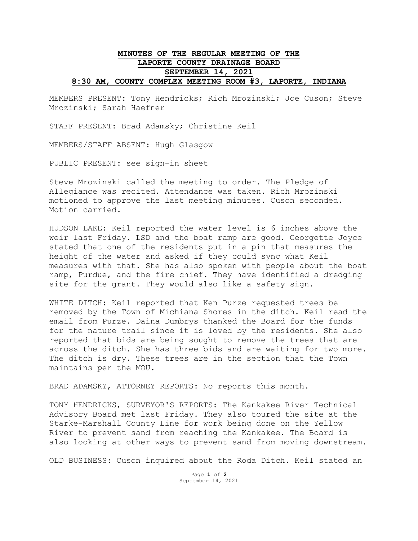## **MINUTES OF THE REGULAR MEETING OF THE LAPORTE COUNTY DRAINAGE BOARD SEPTEMBER 14, 2021 8:30 AM, COUNTY COMPLEX MEETING ROOM #3, LAPORTE, INDIANA**

MEMBERS PRESENT: Tony Hendricks; Rich Mrozinski; Joe Cuson; Steve Mrozinski; Sarah Haefner

STAFF PRESENT: Brad Adamsky; Christine Keil

MEMBERS/STAFF ABSENT: Hugh Glasgow

PUBLIC PRESENT: see sign-in sheet

Steve Mrozinski called the meeting to order. The Pledge of Allegiance was recited. Attendance was taken. Rich Mrozinski motioned to approve the last meeting minutes. Cuson seconded. Motion carried.

HUDSON LAKE: Keil reported the water level is 6 inches above the weir last Friday. LSD and the boat ramp are good. Georgette Joyce stated that one of the residents put in a pin that measures the height of the water and asked if they could sync what Keil measures with that. She has also spoken with people about the boat ramp, Purdue, and the fire chief. They have identified a dredging site for the grant. They would also like a safety sign.

WHITE DITCH: Keil reported that Ken Purze requested trees be removed by the Town of Michiana Shores in the ditch. Keil read the email from Purze. Daina Dumbrys thanked the Board for the funds for the nature trail since it is loved by the residents. She also reported that bids are being sought to remove the trees that are across the ditch. She has three bids and are waiting for two more. The ditch is dry. These trees are in the section that the Town maintains per the MOU.

BRAD ADAMSKY, ATTORNEY REPORTS: No reports this month.

TONY HENDRICKS, SURVEYOR'S REPORTS: The Kankakee River Technical Advisory Board met last Friday. They also toured the site at the Starke-Marshall County Line for work being done on the Yellow River to prevent sand from reaching the Kankakee. The Board is also looking at other ways to prevent sand from moving downstream.

OLD BUSINESS: Cuson inquired about the Roda Ditch. Keil stated an